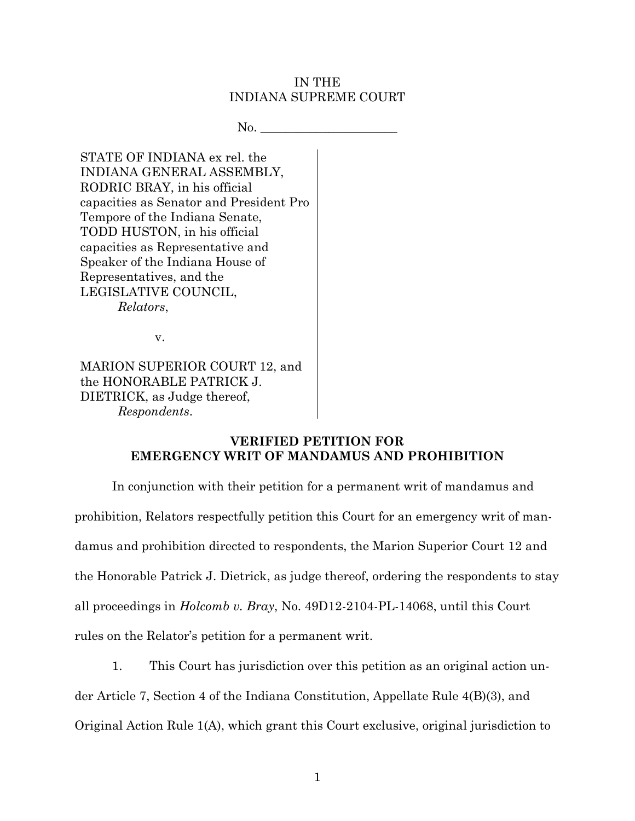### IN THE INDIANA SUPREME COURT

 $No.$ 

STATE OF INDIANA ex rel. the INDIANA GENERAL ASSEMBLY, RODRIC BRAY, in his official capacities as Senator and President Pro Tempore of the Indiana Senate, TODD HUSTON, in his official capacities as Representative and Speaker of the Indiana House of Representatives, and the LEGISLATIVE COUNCIL, *Relators*,

v.

MARION SUPERIOR COURT 12, and the HONORABLE PATRICK J. DIETRICK, as Judge thereof, *Respondents*.

# **VERIFIED PETITION FOR EMERGENCY WRIT OF MANDAMUS AND PROHIBITION**

In conjunction with their petition for a permanent writ of mandamus and prohibition, Relators respectfully petition this Court for an emergency writ of mandamus and prohibition directed to respondents, the Marion Superior Court 12 and the Honorable Patrick J. Dietrick, as judge thereof, ordering the respondents to stay all proceedings in *Holcomb v. Bray*, No. 49D12-2104-PL-14068, until this Court rules on the Relator's petition for a permanent writ.

1. This Court has jurisdiction over this petition as an original action un-

der Article 7, Section 4 of the Indiana Constitution, Appellate Rule 4(B)(3), and

Original Action Rule 1(A), which grant this Court exclusive, original jurisdiction to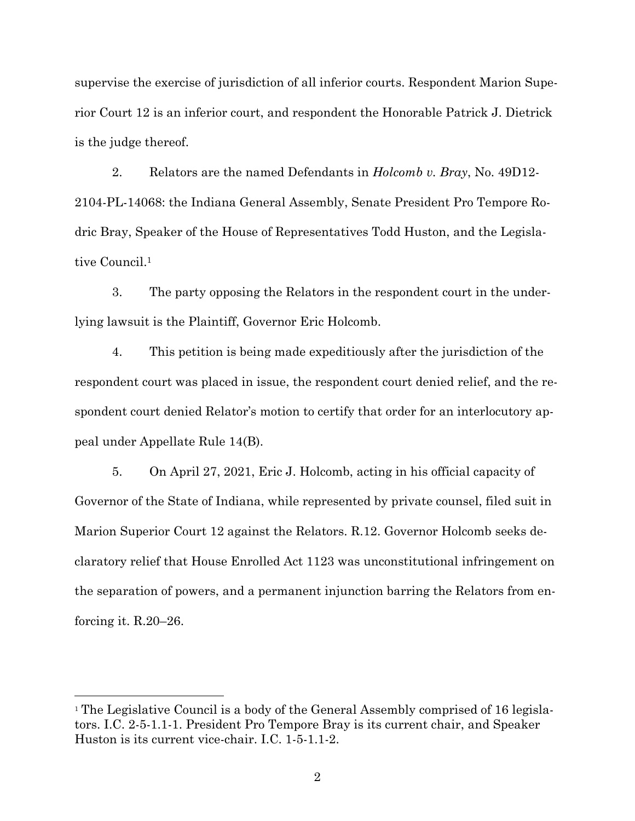supervise the exercise of jurisdiction of all inferior courts. Respondent Marion Superior Court 12 is an inferior court, and respondent the Honorable Patrick J. Dietrick is the judge thereof.

2. Relators are the named Defendants in *Holcomb v. Bray*, No. 49D12- 2104-PL-14068: the Indiana General Assembly, Senate President Pro Tempore Rodric Bray, Speaker of the House of Representatives Todd Huston, and the Legislative Council.<sup>1</sup>

3. The party opposing the Relators in the respondent court in the underlying lawsuit is the Plaintiff, Governor Eric Holcomb.

4. This petition is being made expeditiously after the jurisdiction of the respondent court was placed in issue, the respondent court denied relief, and the respondent court denied Relator's motion to certify that order for an interlocutory appeal under Appellate Rule 14(B).

5. On April 27, 2021, Eric J. Holcomb, acting in his official capacity of Governor of the State of Indiana, while represented by private counsel, filed suit in Marion Superior Court 12 against the Relators. R.12. Governor Holcomb seeks declaratory relief that House Enrolled Act 1123 was unconstitutional infringement on the separation of powers, and a permanent injunction barring the Relators from enforcing it. R.20–26.

l

<sup>1</sup> The Legislative Council is a body of the General Assembly comprised of 16 legislators. I.C. 2-5-1.1-1. President Pro Tempore Bray is its current chair, and Speaker Huston is its current vice-chair. I.C. 1-5-1.1-2.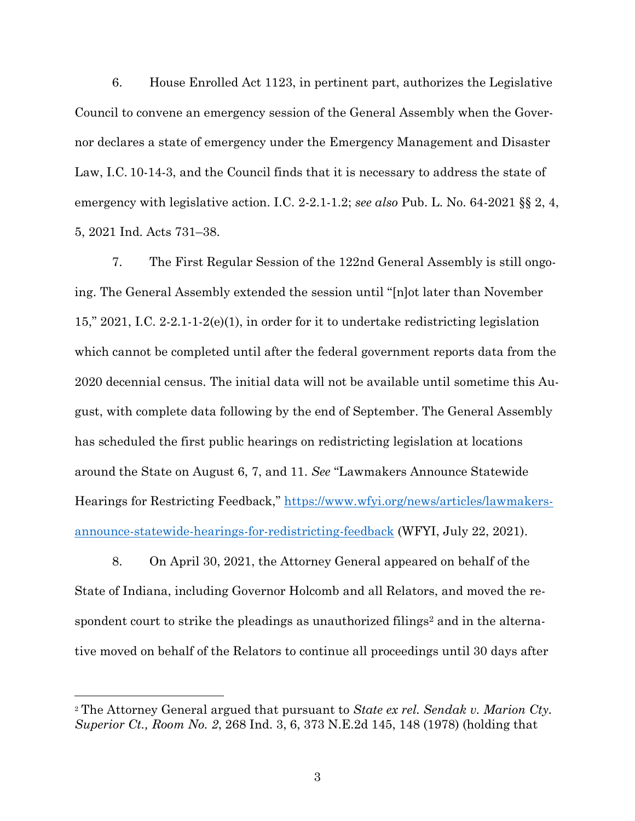6. House Enrolled Act 1123, in pertinent part, authorizes the Legislative Council to convene an emergency session of the General Assembly when the Governor declares a state of emergency under the Emergency Management and Disaster Law, I.C. 10-14-3, and the Council finds that it is necessary to address the state of emergency with legislative action. I.C. 2-2.1-1.2; *see also* Pub. L. No. 64-2021 §§ 2, 4, 5, 2021 Ind. Acts 731–38.

7. The First Regular Session of the 122nd General Assembly is still ongoing. The General Assembly extended the session until "[n]ot later than November 15," 2021, I.C. 2-2.1-1-2(e)(1), in order for it to undertake redistricting legislation which cannot be completed until after the federal government reports data from the 2020 decennial census. The initial data will not be available until sometime this August, with complete data following by the end of September. The General Assembly has scheduled the first public hearings on redistricting legislation at locations around the State on August 6, 7, and 11. *See* "Lawmakers Announce Statewide Hearings for Restricting Feedback," [https://www.wfyi.org/news/articles/lawmakers](https://www.wfyi.org/news/articles/lawmakers-announce-statewide-hearings-for-redistricting-feedback)[announce-statewide-hearings-for-redistricting-feedback](https://www.wfyi.org/news/articles/lawmakers-announce-statewide-hearings-for-redistricting-feedback) (WFYI, July 22, 2021).

8. On April 30, 2021, the Attorney General appeared on behalf of the State of Indiana, including Governor Holcomb and all Relators, and moved the respondent court to strike the pleadings as unauthorized filings<sup>2</sup> and in the alternative moved on behalf of the Relators to continue all proceedings until 30 days after

l

<sup>2</sup> The Attorney General argued that pursuant to *State ex rel. Sendak v. Marion Cty. Superior Ct., Room No. 2*, 268 Ind. 3, 6, 373 N.E.2d 145, 148 (1978) (holding that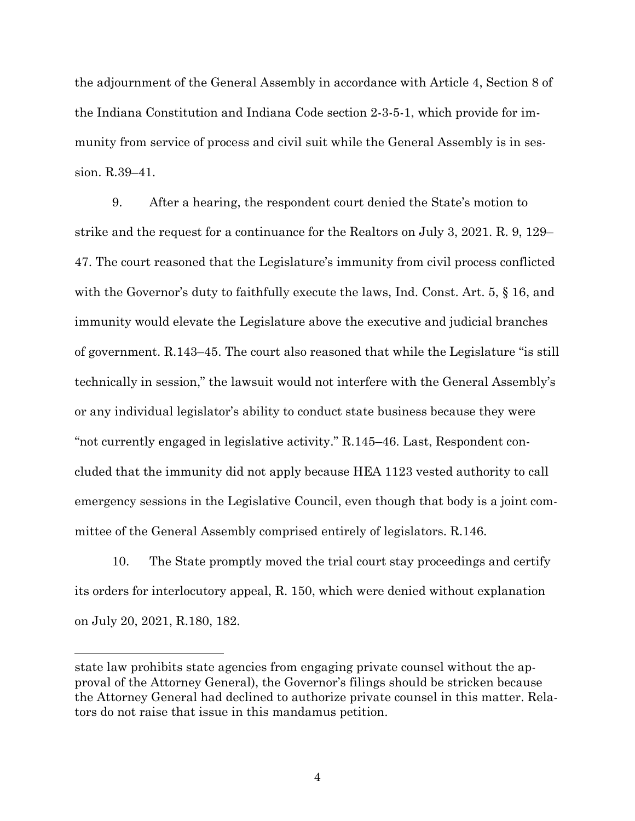the adjournment of the General Assembly in accordance with Article 4, Section 8 of the Indiana Constitution and Indiana Code section 2-3-5-1, which provide for immunity from service of process and civil suit while the General Assembly is in session. R.39–41.

9. After a hearing, the respondent court denied the State's motion to strike and the request for a continuance for the Realtors on July 3, 2021. R. 9, 129– 47. The court reasoned that the Legislature's immunity from civil process conflicted with the Governor's duty to faithfully execute the laws, Ind. Const. Art. 5,  $\S$  16, and immunity would elevate the Legislature above the executive and judicial branches of government. R.143–45. The court also reasoned that while the Legislature "is still technically in session," the lawsuit would not interfere with the General Assembly's or any individual legislator's ability to conduct state business because they were "not currently engaged in legislative activity." R.145–46. Last, Respondent concluded that the immunity did not apply because HEA 1123 vested authority to call emergency sessions in the Legislative Council, even though that body is a joint committee of the General Assembly comprised entirely of legislators. R.146.

10. The State promptly moved the trial court stay proceedings and certify its orders for interlocutory appeal, R. 150, which were denied without explanation on July 20, 2021, R.180, 182.

 $\overline{a}$ 

4

state law prohibits state agencies from engaging private counsel without the approval of the Attorney General), the Governor's filings should be stricken because the Attorney General had declined to authorize private counsel in this matter. Relators do not raise that issue in this mandamus petition.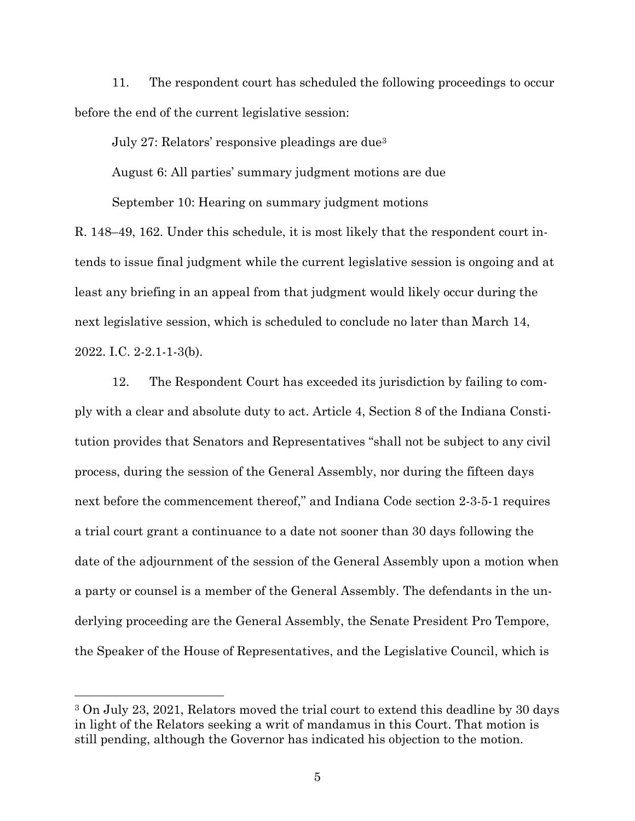11. The respondent court has scheduled the following proceedings to occur before the end of the current legislative session:

July 27: Relators' responsive pleadings are due<sup>3</sup> August 6: All parties' summary judgment motions are due September 10: Hearing on summary judgment motions

R. 148–49, 162. Under this schedule, it is most likely that the respondent court intends to issue final judgment while the current legislative session is ongoing and at least any briefing in an appeal from that judgment would likely occur during the next legislative session, which is scheduled to conclude no later than March 14, 2022. I.C. 2-2.1-1-3(b).

12. The Respondent Court has exceeded its jurisdiction by failing to comply with a clear and absolute duty to act. Article 4, Section 8 of the Indiana Constitution provides that Senators and Representatives "shall not be subject to any civil process, during the session of the General Assembly, nor during the fifteen days next before the commencement thereof," and Indiana Code section 2-3-5-1 requires a trial court grant a continuance to a date not sooner than 30 days following the date of the adjournment of the session of the General Assembly upon a motion when a party or counsel is a member of the General Assembly. The defendants in the underlying proceeding are the General Assembly, the Senate President Pro Tempore, the Speaker of the House of Representatives, and the Legislative Council, which is

l

<sup>3</sup> On July 23, 2021, Relators moved the trial court to extend this deadline by 30 days in light of the Relators seeking a writ of mandamus in this Court. That motion is still pending, although the Governor has indicated his objection to the motion.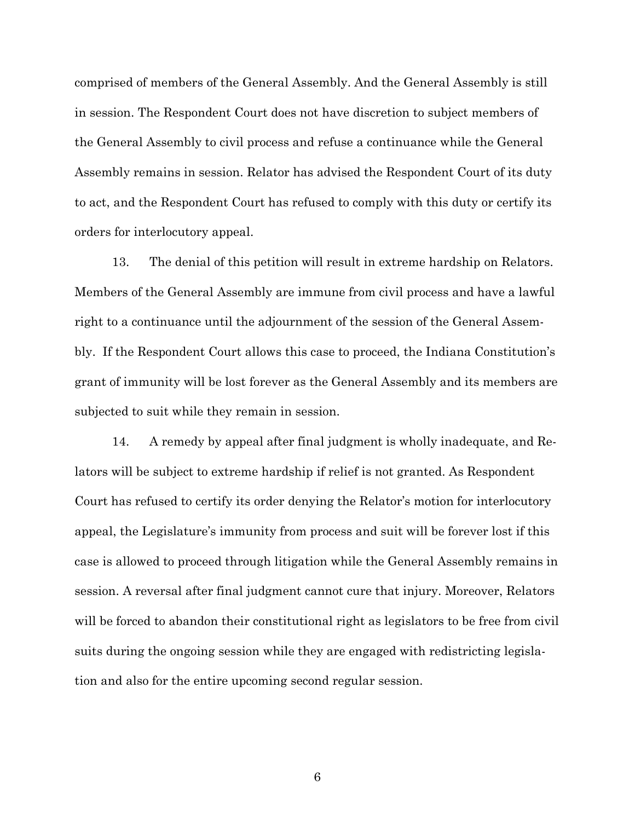comprised of members of the General Assembly. And the General Assembly is still in session. The Respondent Court does not have discretion to subject members of the General Assembly to civil process and refuse a continuance while the General Assembly remains in session. Relator has advised the Respondent Court of its duty to act, and the Respondent Court has refused to comply with this duty or certify its orders for interlocutory appeal.

13. The denial of this petition will result in extreme hardship on Relators. Members of the General Assembly are immune from civil process and have a lawful right to a continuance until the adjournment of the session of the General Assembly. If the Respondent Court allows this case to proceed, the Indiana Constitution's grant of immunity will be lost forever as the General Assembly and its members are subjected to suit while they remain in session.

14. A remedy by appeal after final judgment is wholly inadequate, and Relators will be subject to extreme hardship if relief is not granted. As Respondent Court has refused to certify its order denying the Relator's motion for interlocutory appeal, the Legislature's immunity from process and suit will be forever lost if this case is allowed to proceed through litigation while the General Assembly remains in session. A reversal after final judgment cannot cure that injury. Moreover, Relators will be forced to abandon their constitutional right as legislators to be free from civil suits during the ongoing session while they are engaged with redistricting legislation and also for the entire upcoming second regular session.

6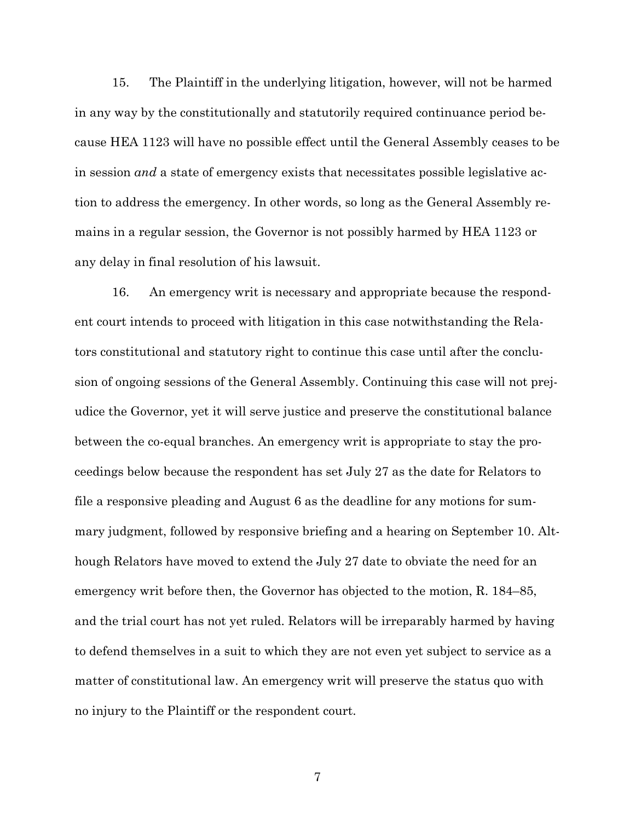15. The Plaintiff in the underlying litigation, however, will not be harmed in any way by the constitutionally and statutorily required continuance period because HEA 1123 will have no possible effect until the General Assembly ceases to be in session *and* a state of emergency exists that necessitates possible legislative action to address the emergency. In other words, so long as the General Assembly remains in a regular session, the Governor is not possibly harmed by HEA 1123 or any delay in final resolution of his lawsuit.

16. An emergency writ is necessary and appropriate because the respondent court intends to proceed with litigation in this case notwithstanding the Relators constitutional and statutory right to continue this case until after the conclusion of ongoing sessions of the General Assembly. Continuing this case will not prejudice the Governor, yet it will serve justice and preserve the constitutional balance between the co-equal branches. An emergency writ is appropriate to stay the proceedings below because the respondent has set July 27 as the date for Relators to file a responsive pleading and August 6 as the deadline for any motions for summary judgment, followed by responsive briefing and a hearing on September 10. Although Relators have moved to extend the July 27 date to obviate the need for an emergency writ before then, the Governor has objected to the motion, R. 184–85, and the trial court has not yet ruled. Relators will be irreparably harmed by having to defend themselves in a suit to which they are not even yet subject to service as a matter of constitutional law. An emergency writ will preserve the status quo with no injury to the Plaintiff or the respondent court.

7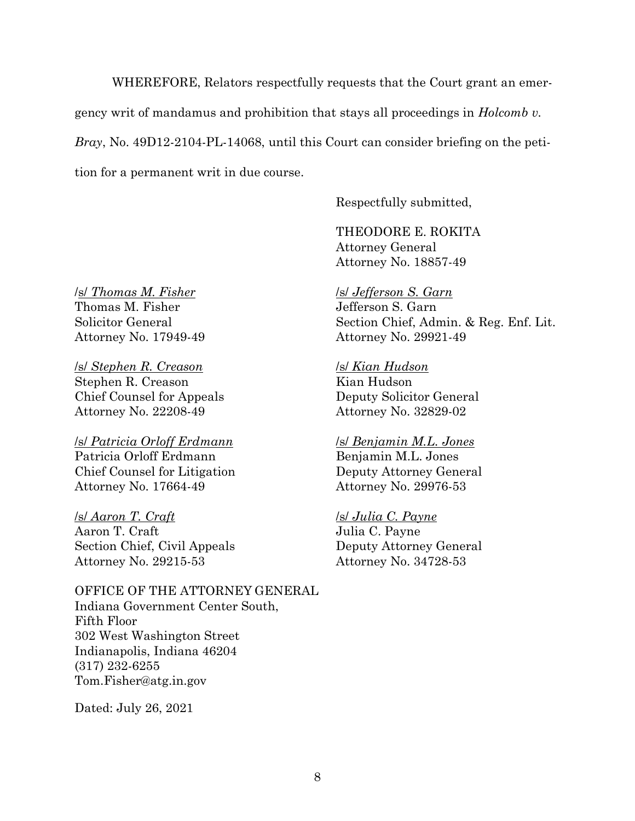WHEREFORE, Relators respectfully requests that the Court grant an emergency writ of mandamus and prohibition that stays all proceedings in *Holcomb v. Bray*, No. 49D12-2104-PL-14068, until this Court can consider briefing on the petition for a permanent writ in due course.

Respectfully submitted,

THEODORE E. ROKITA Attorney General Attorney No. 18857-49

/s/ *Jefferson S. Garn* Jefferson S. Garn Section Chief, Admin. & Reg. Enf. Lit. Attorney No. 29921-49

#### /s/ *Kian Hudson*

Kian Hudson Deputy Solicitor General Attorney No. 32829-02

#### /s/ *Benjamin M.L. Jones*

Benjamin M.L. Jones Deputy Attorney General Attorney No. 29976-53

#### /s/ *Julia C. Payne*

Julia C. Payne Deputy Attorney General Attorney No. 34728-53

/s/ *Thomas M. Fisher* Thomas M. Fisher Solicitor General Attorney No. 17949-49

/s/ *Stephen R. Creason* Stephen R. Creason Chief Counsel for Appeals Attorney No. 22208-49

/s/ *Patricia Orloff Erdmann* Patricia Orloff Erdmann Chief Counsel for Litigation Attorney No. 17664-49

/s/ *Aaron T. Craft* Aaron T. Craft Section Chief, Civil Appeals Attorney No. 29215-53

OFFICE OF THE ATTORNEY GENERAL Indiana Government Center South, Fifth Floor 302 West Washington Street Indianapolis, Indiana 46204 (317) 232-6255 Tom.Fisher@atg.in.gov

Dated: July 26, 2021